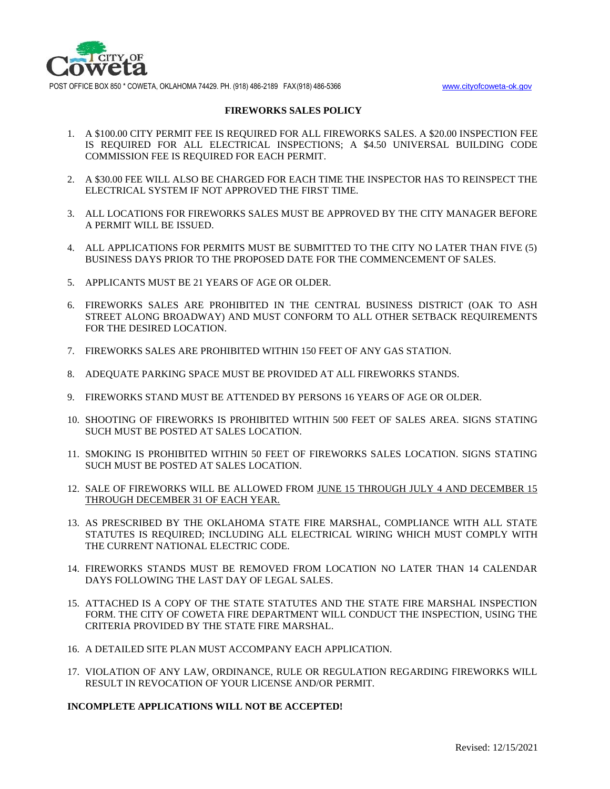

POST OFFICE BOX 850 \* COWETA, OKLAHOMA 74429. PH. (918) 486-2189 FAX(918) 486-5366 [www.cityofcoweta-ok.gov](http://www.cityofcoweta-ok.gov/)

#### **FIREWORKS SALES POLICY**

- 1. A \$100.00 CITY PERMIT FEE IS REQUIRED FOR ALL FIREWORKS SALES. A \$20.00 INSPECTION FEE IS REQUIRED FOR ALL ELECTRICAL INSPECTIONS; A \$4.50 UNIVERSAL BUILDING CODE COMMISSION FEE IS REQUIRED FOR EACH PERMIT.
- 2. A \$30.00 FEE WILL ALSO BE CHARGED FOR EACH TIME THE INSPECTOR HAS TO REINSPECT THE ELECTRICAL SYSTEM IF NOT APPROVED THE FIRST TIME.
- 3. ALL LOCATIONS FOR FIREWORKS SALES MUST BE APPROVED BY THE CITY MANAGER BEFORE A PERMIT WILL BE ISSUED.
- 4. ALL APPLICATIONS FOR PERMITS MUST BE SUBMITTED TO THE CITY NO LATER THAN FIVE (5) BUSINESS DAYS PRIOR TO THE PROPOSED DATE FOR THE COMMENCEMENT OF SALES.
- 5. APPLICANTS MUST BE 21 YEARS OF AGE OR OLDER.
- 6. FIREWORKS SALES ARE PROHIBITED IN THE CENTRAL BUSINESS DISTRICT (OAK TO ASH STREET ALONG BROADWAY) AND MUST CONFORM TO ALL OTHER SETBACK REQUIREMENTS FOR THE DESIRED LOCATION.
- 7. FIREWORKS SALES ARE PROHIBITED WITHIN 150 FEET OF ANY GAS STATION.
- 8. ADEQUATE PARKING SPACE MUST BE PROVIDED AT ALL FIREWORKS STANDS.
- 9. FIREWORKS STAND MUST BE ATTENDED BY PERSONS 16 YEARS OF AGE OR OLDER.
- 10. SHOOTING OF FIREWORKS IS PROHIBITED WITHIN 500 FEET OF SALES AREA. SIGNS STATING SUCH MUST BE POSTED AT SALES LOCATION.
- 11. SMOKING IS PROHIBITED WITHIN 50 FEET OF FIREWORKS SALES LOCATION. SIGNS STATING SUCH MUST BE POSTED AT SALES LOCATION.
- 12. SALE OF FIREWORKS WILL BE ALLOWED FROM JUNE 15 THROUGH JULY 4 AND DECEMBER 15 THROUGH DECEMBER 31 OF EACH YEAR.
- 13. AS PRESCRIBED BY THE OKLAHOMA STATE FIRE MARSHAL, COMPLIANCE WITH ALL STATE STATUTES IS REQUIRED; INCLUDING ALL ELECTRICAL WIRING WHICH MUST COMPLY WITH THE CURRENT NATIONAL ELECTRIC CODE.
- 14. FIREWORKS STANDS MUST BE REMOVED FROM LOCATION NO LATER THAN 14 CALENDAR DAYS FOLLOWING THE LAST DAY OF LEGAL SALES.
- 15. ATTACHED IS A COPY OF THE STATE STATUTES AND THE STATE FIRE MARSHAL INSPECTION FORM. THE CITY OF COWETA FIRE DEPARTMENT WILL CONDUCT THE INSPECTION, USING THE CRITERIA PROVIDED BY THE STATE FIRE MARSHAL.
- 16. A DETAILED SITE PLAN MUST ACCOMPANY EACH APPLICATION.
- 17. VIOLATION OF ANY LAW, ORDINANCE, RULE OR REGULATION REGARDING FIREWORKS WILL RESULT IN REVOCATION OF YOUR LICENSE AND/OR PERMIT.

#### **INCOMPLETE APPLICATIONS WILL NOT BE ACCEPTED!**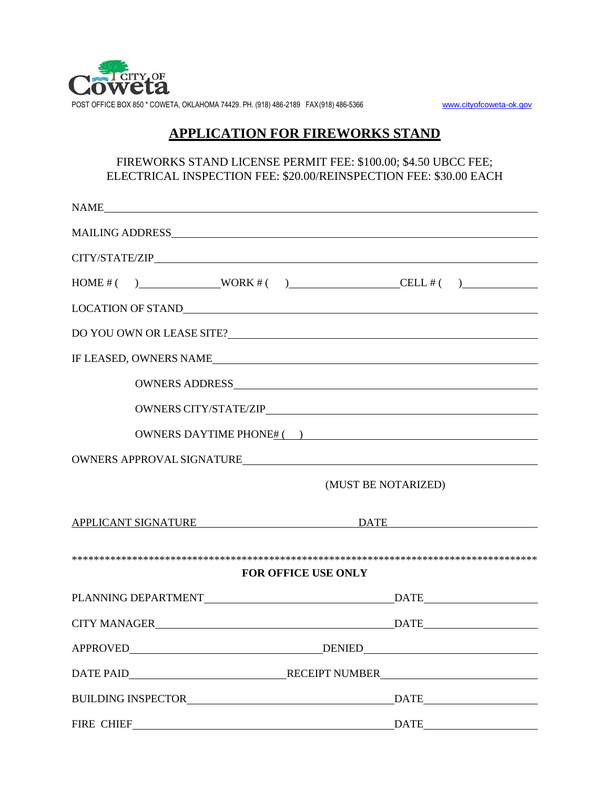

POST OFFICE BOX 850 \* COWETA, OKLAHOMA 74429. PH. (918) 486-2189 FAX(918) 486-5366 [www.cityofcoweta-ok.gov](http://www.cityofcoweta-ok.gov/)

# **APPLICATION FOR FIREWORKS STAND**

## FIREWORKS STAND LICENSE PERMIT FEE: \$100.00; \$4.50 UBCC FEE; ELECTRICAL INSPECTION FEE: \$20.00/REINSPECTION FEE: \$30.00 EACH

|                            |                     | NAME                                                                                                                |                     |                                                                                                                       |  |  |  |
|----------------------------|---------------------|---------------------------------------------------------------------------------------------------------------------|---------------------|-----------------------------------------------------------------------------------------------------------------------|--|--|--|
|                            |                     |                                                                                                                     |                     |                                                                                                                       |  |  |  |
|                            |                     |                                                                                                                     |                     |                                                                                                                       |  |  |  |
|                            |                     |                                                                                                                     |                     | $HOME #( )$ WORK #( ) CELL #( )                                                                                       |  |  |  |
|                            |                     |                                                                                                                     |                     |                                                                                                                       |  |  |  |
|                            |                     |                                                                                                                     |                     |                                                                                                                       |  |  |  |
| IF LEASED, OWNERS NAME     |                     |                                                                                                                     |                     |                                                                                                                       |  |  |  |
|                            |                     |                                                                                                                     |                     |                                                                                                                       |  |  |  |
|                            |                     |                                                                                                                     |                     |                                                                                                                       |  |  |  |
|                            |                     |                                                                                                                     |                     | OWNERS DAYTIME PHONE $\frac{H}{L}$ ( )                                                                                |  |  |  |
| OWNERS APPROVAL SIGNATURE  |                     |                                                                                                                     |                     |                                                                                                                       |  |  |  |
|                            |                     |                                                                                                                     | (MUST BE NOTARIZED) |                                                                                                                       |  |  |  |
|                            | APPLICANT SIGNATURE |                                                                                                                     | <b>DATE</b>         |                                                                                                                       |  |  |  |
| <b>FOR OFFICE USE ONLY</b> |                     |                                                                                                                     |                     |                                                                                                                       |  |  |  |
|                            |                     |                                                                                                                     |                     |                                                                                                                       |  |  |  |
|                            |                     |                                                                                                                     |                     |                                                                                                                       |  |  |  |
| APPROVED                   |                     | <b>DENIED</b>                                                                                                       |                     | <u> 1986 - Johann Harry Harry Harry Harry Harry Harry Harry Harry Harry Harry Harry Harry Harry Harry Harry Harry</u> |  |  |  |
|                            |                     |                                                                                                                     |                     |                                                                                                                       |  |  |  |
|                            |                     |                                                                                                                     |                     |                                                                                                                       |  |  |  |
| FIRE CHIEF                 |                     | <u> 1980 - Johann Barn, mars eta bainar eta baina eta baina eta baina eta baina eta baina eta baina eta baina e</u> |                     | $\overline{\text{DATE}}$                                                                                              |  |  |  |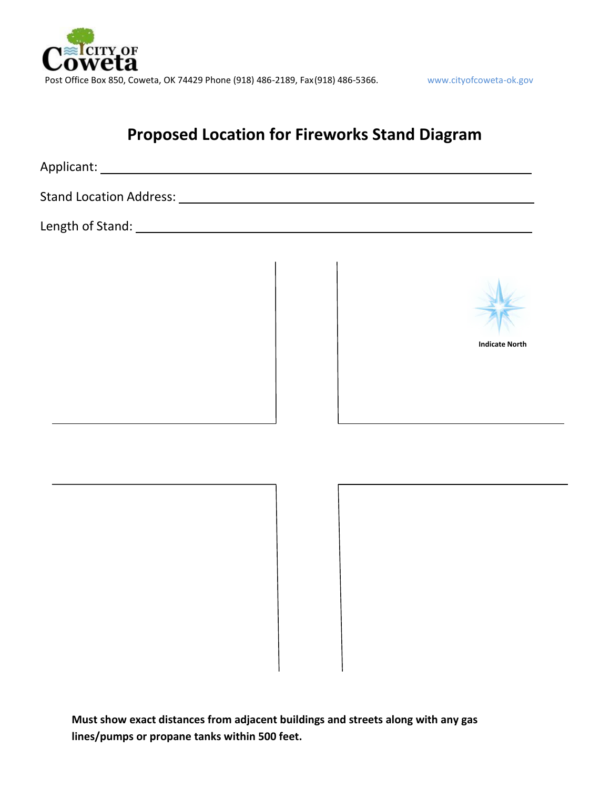

# **Proposed Location for Fireworks Stand Diagram**

Applicant: Note also a series and the series of the series of the series of the series of the series of the series of the series of the series of the series of the series of the series of the series of the series of the se

Stand Location Address:

Length of Stand:



**Indicate North**

**Must show exact distances from adjacent buildings and streets along with any gas lines/pumps or propane tanks within 500 feet.**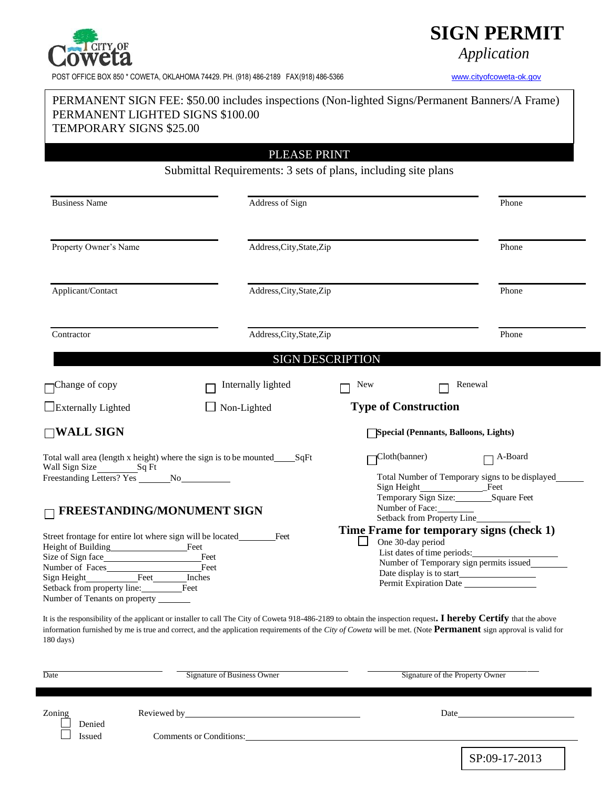

POST OFFICE BOX 850 \* COWETA, OKLAHOMA 74429. PH. (918) 486-2189 FAX(918) 486-5366 [www.cityofcoweta-ok.gov](http://www.cityofcoweta-ok.gov/)

# **SIGN PERMIT**

*Application*

# PERMANENT SIGN FEE: \$50.00 includes inspections (Non-lighted Signs/Permanent Banners/A Frame) PERMANENT LIGHTED SIGNS \$100.00 TEMPORARY SIGNS \$25.00

PLEASE PRINT

Submittal Requirements: 3 sets of plans, including site plans

| <b>Business Name</b>                                                                                                                                                                                                                 | Address of Sign           |                                                                                                                                        | Phone                                                                                                              |  |
|--------------------------------------------------------------------------------------------------------------------------------------------------------------------------------------------------------------------------------------|---------------------------|----------------------------------------------------------------------------------------------------------------------------------------|--------------------------------------------------------------------------------------------------------------------|--|
| Property Owner's Name                                                                                                                                                                                                                |                           | Address, City, State, Zip<br>Address, City, State, Zip                                                                                 |                                                                                                                    |  |
| Applicant/Contact                                                                                                                                                                                                                    |                           |                                                                                                                                        |                                                                                                                    |  |
| Contractor                                                                                                                                                                                                                           | Address, City, State, Zip | Phone                                                                                                                                  |                                                                                                                    |  |
|                                                                                                                                                                                                                                      |                           | <b>SIGN DESCRIPTION</b>                                                                                                                |                                                                                                                    |  |
| $\Box$ Change of copy                                                                                                                                                                                                                | Internally lighted        | <b>New</b>                                                                                                                             | Renewal                                                                                                            |  |
| Externally Lighted                                                                                                                                                                                                                   | Non-Lighted               | <b>Type of Construction</b>                                                                                                            |                                                                                                                    |  |
| $\Box$ WALL SIGN                                                                                                                                                                                                                     |                           |                                                                                                                                        | <b>Special (Pennants, Balloons, Lights)</b>                                                                        |  |
| Total wall area (length x height) where the sign is to be mounted_______SqFt<br>Wall Sign Size<br>Sq Ft                                                                                                                              |                           | Cloth(banner)<br>A-Board<br>Total Number of Temporary signs to be displayed<br>Sign Height<br>Feet<br>Temporary Sign Size: Square Feet |                                                                                                                    |  |
| $\Box$ FREESTANDING/MONUMENT SIGN                                                                                                                                                                                                    |                           |                                                                                                                                        | Number of Face:<br>Setback from Property Line                                                                      |  |
| Street frontage for entire lot where sign will be located<br>Height of Building<br>Feet<br>Feet<br>Number of Faces<br>Feet<br>Feet Inches<br>Sign Height<br>Setback from property line: Feet<br>Number of Tenants on property ______ | Feet                      | One 30-day period                                                                                                                      | Time Frame for temporary signs (check 1)<br>List dates of time periods:<br>Number of Temporary sign permits issued |  |

| Date   | Signature of Business Owner    | Signature of the Property Owner |
|--------|--------------------------------|---------------------------------|
|        |                                |                                 |
| Zoning | Reviewed by                    | Date                            |
| Denied |                                |                                 |
| ssued  | <b>Comments or Conditions:</b> |                                 |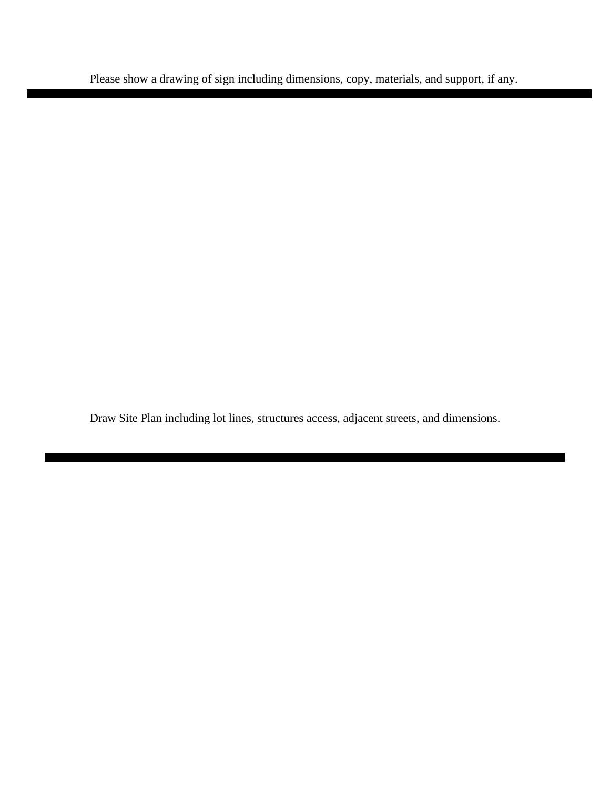Please show a drawing of sign including dimensions, copy, materials, and support, if any.

Draw Site Plan including lot lines, structures access, adjacent streets, and dimensions.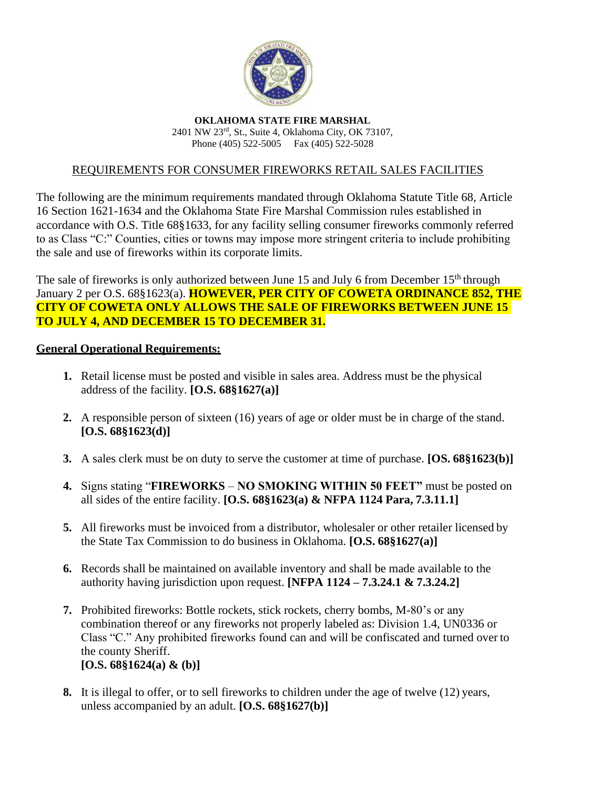

**OKLAHOMA STATE FIRE MARSHAL** 2401 NW 23rd, St., Suite 4, Oklahoma City, OK 73107, Phone (405) 522-5005 Fax (405) 522-5028

## REQUIREMENTS FOR CONSUMER FIREWORKS RETAIL SALES FACILITIES

The following are the minimum requirements mandated through Oklahoma Statute Title 68, Article 16 Section 1621-1634 and the Oklahoma State Fire Marshal Commission rules established in accordance with O.S. Title 68§1633, for any facility selling consumer fireworks commonly referred to as Class "C:" Counties, cities or towns may impose more stringent criteria to include prohibiting the sale and use of fireworks within its corporate limits.

The sale of fireworks is only authorized between June 15 and July 6 from December  $15<sup>th</sup>$  through January 2 per O.S. 68§1623(a). **HOWEVER, PER CITY OF COWETA ORDINANCE 852, THE CITY OF COWETA ONLY ALLOWS THE SALE OF FIREWORKS BETWEEN JUNE 15 TO JULY 4, AND DECEMBER 15 TO DECEMBER 31.**

### **General Operational Requirements:**

- **1.** Retail license must be posted and visible in sales area. Address must be the physical address of the facility. **[O.S. 68§1627(a)]**
- **2.** A responsible person of sixteen (16) years of age or older must be in charge of the stand. **[O.S. 68§1623(d)]**
- **3.** A sales clerk must be on duty to serve the customer at time of purchase. **[OS. 68§1623(b)]**
- **4.** Signs stating "**FIREWORKS NO SMOKING WITHIN 50 FEET"** must be posted on all sides of the entire facility. **[O.S. 68§1623(a) & NFPA 1124 Para, 7.3.11.1]**
- **5.** All fireworks must be invoiced from a distributor, wholesaler or other retailer licensed by the State Tax Commission to do business in Oklahoma. **[O.S. 68§1627(a)]**
- **6.** Records shall be maintained on available inventory and shall be made available to the authority having jurisdiction upon request. **[NFPA 1124 – 7.3.24.1 & 7.3.24.2]**
- **7.** Prohibited fireworks: Bottle rockets, stick rockets, cherry bombs, M-80's or any combination thereof or any fireworks not properly labeled as: Division 1.4, UN0336 or Class "C." Any prohibited fireworks found can and will be confiscated and turned over to the county Sheriff. **[O.S. 68§1624(a) & (b)]**
- **8.** It is illegal to offer, or to sell fireworks to children under the age of twelve (12) years, unless accompanied by an adult. **[O.S. 68§1627(b)]**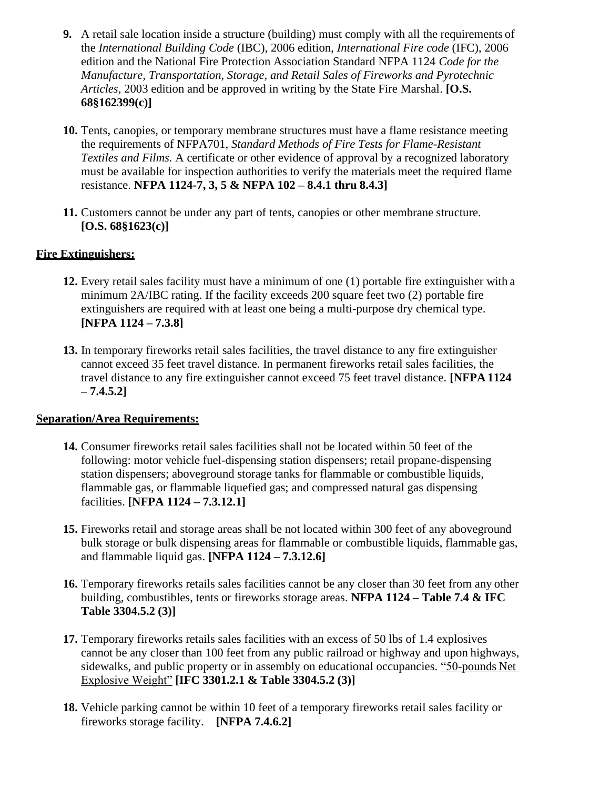- **9.** A retail sale location inside a structure (building) must comply with all the requirements of the *International Building Code* (IBC), 2006 edition, *International Fire code* (IFC), 2006 edition and the National Fire Protection Association Standard NFPA 1124 *Code for the Manufacture, Transportation, Storage, and Retail Sales of Fireworks and Pyrotechnic Articles,* 2003 edition and be approved in writing by the State Fire Marshal. **[O.S. 68§162399(c)]**
- **10.** Tents, canopies, or temporary membrane structures must have a flame resistance meeting the requirements of NFPA701, *Standard Methods of Fire Tests for Flame-Resistant Textiles and Films.* A certificate or other evidence of approval by a recognized laboratory must be available for inspection authorities to verify the materials meet the required flame resistance. **NFPA 1124-7, 3, 5 & NFPA 102 – 8.4.1 thru 8.4.3]**
- **11.** Customers cannot be under any part of tents, canopies or other membrane structure. **[O.S. 68§1623(c)]**

# **Fire Extinguishers:**

- **12.** Every retail sales facility must have a minimum of one (1) portable fire extinguisher with a minimum 2A/IBC rating. If the facility exceeds 200 square feet two (2) portable fire extinguishers are required with at least one being a multi-purpose dry chemical type. **[NFPA 1124 – 7.3.8]**
- **13.** In temporary fireworks retail sales facilities, the travel distance to any fire extinguisher cannot exceed 35 feet travel distance. In permanent fireworks retail sales facilities, the travel distance to any fire extinguisher cannot exceed 75 feet travel distance. **[NFPA 1124 – 7.4.5.2]**

# **Separation/Area Requirements:**

- **14.** Consumer fireworks retail sales facilities shall not be located within 50 feet of the following: motor vehicle fuel-dispensing station dispensers; retail propane-dispensing station dispensers; aboveground storage tanks for flammable or combustible liquids, flammable gas, or flammable liquefied gas; and compressed natural gas dispensing facilities. **[NFPA 1124 – 7.3.12.1]**
- **15.** Fireworks retail and storage areas shall be not located within 300 feet of any aboveground bulk storage or bulk dispensing areas for flammable or combustible liquids, flammable gas, and flammable liquid gas. **[NFPA 1124 – 7.3.12.6]**
- **16.** Temporary fireworks retails sales facilities cannot be any closer than 30 feet from any other building, combustibles, tents or fireworks storage areas. **NFPA 1124 – Table 7.4 & IFC Table 3304.5.2 (3)]**
- **17.** Temporary fireworks retails sales facilities with an excess of 50 lbs of 1.4 explosives cannot be any closer than 100 feet from any public railroad or highway and upon highways, sidewalks, and public property or in assembly on educational occupancies. "50-pounds Net Explosive Weight" **[IFC 3301.2.1 & Table 3304.5.2 (3)]**
- **18.** Vehicle parking cannot be within 10 feet of a temporary fireworks retail sales facility or fireworks storage facility. **[NFPA 7.4.6.2]**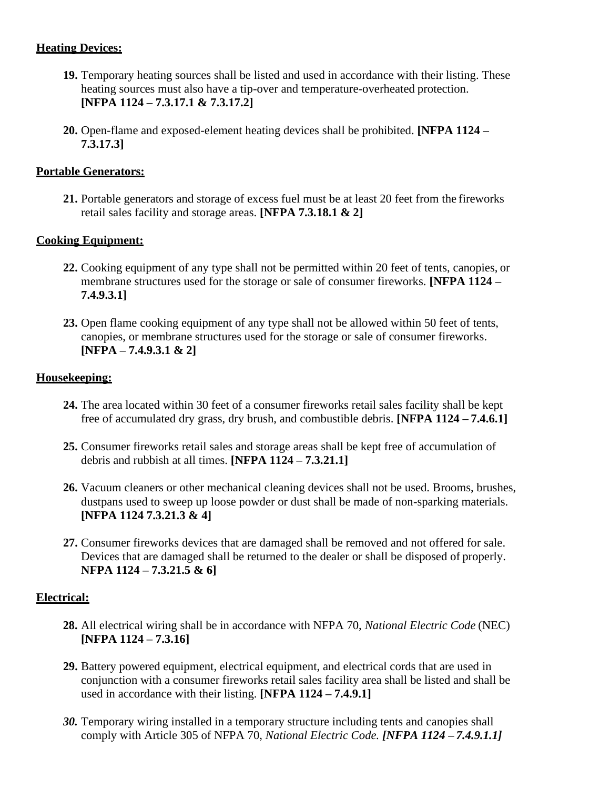# **Heating Devices:**

- **19.** Temporary heating sources shall be listed and used in accordance with their listing. These heating sources must also have a tip-over and temperature-overheated protection. **[NFPA 1124 – 7.3.17.1 & 7.3.17.2]**
- **20.** Open-flame and exposed-element heating devices shall be prohibited. **[NFPA 1124 – 7.3.17.3]**

# **Portable Generators:**

**21.** Portable generators and storage of excess fuel must be at least 20 feet from the fireworks retail sales facility and storage areas. **[NFPA 7.3.18.1 & 2]**

# **Cooking Equipment:**

- **22.** Cooking equipment of any type shall not be permitted within 20 feet of tents, canopies, or membrane structures used for the storage or sale of consumer fireworks. **[NFPA 1124 – 7.4.9.3.1]**
- **23.** Open flame cooking equipment of any type shall not be allowed within 50 feet of tents, canopies, or membrane structures used for the storage or sale of consumer fireworks. **[NFPA – 7.4.9.3.1 & 2]**

# **Housekeeping:**

- **24.** The area located within 30 feet of a consumer fireworks retail sales facility shall be kept free of accumulated dry grass, dry brush, and combustible debris. **[NFPA 1124 – 7.4.6.1]**
- **25.** Consumer fireworks retail sales and storage areas shall be kept free of accumulation of debris and rubbish at all times. **[NFPA 1124 – 7.3.21.1]**
- **26.** Vacuum cleaners or other mechanical cleaning devices shall not be used. Brooms, brushes, dustpans used to sweep up loose powder or dust shall be made of non-sparking materials. **[NFPA 1124 7.3.21.3 & 4]**
- **27.** Consumer fireworks devices that are damaged shall be removed and not offered for sale. Devices that are damaged shall be returned to the dealer or shall be disposed of properly. **NFPA 1124 – 7.3.21.5 & 6]**

# **Electrical:**

- **28.** All electrical wiring shall be in accordance with NFPA 70, *National Electric Code* (NEC) **[NFPA 1124 – 7.3.16]**
- **29.** Battery powered equipment, electrical equipment, and electrical cords that are used in conjunction with a consumer fireworks retail sales facility area shall be listed and shall be used in accordance with their listing. **[NFPA 1124 – 7.4.9.1]**
- *30.* Temporary wiring installed in a temporary structure including tents and canopies shall comply with Article 305 of NFPA 70, *National Electric Code. [NFPA 1124 – 7.4.9.1.1]*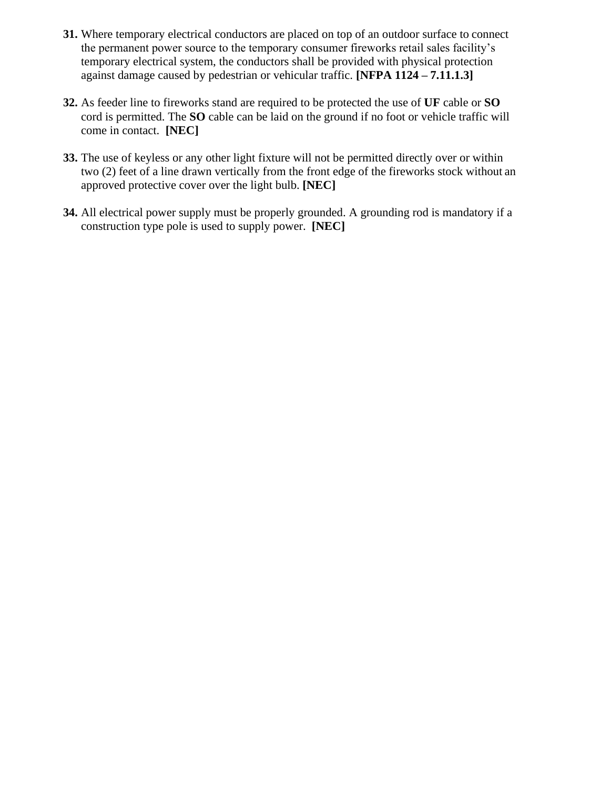- **31.** Where temporary electrical conductors are placed on top of an outdoor surface to connect the permanent power source to the temporary consumer fireworks retail sales facility's temporary electrical system, the conductors shall be provided with physical protection against damage caused by pedestrian or vehicular traffic. **[NFPA 1124 – 7.11.1.3]**
- **32.** As feeder line to fireworks stand are required to be protected the use of **UF** cable or **SO**  cord is permitted. The **SO** cable can be laid on the ground if no foot or vehicle traffic will come in contact. **[NEC]**
- **33.** The use of keyless or any other light fixture will not be permitted directly over or within two (2) feet of a line drawn vertically from the front edge of the fireworks stock without an approved protective cover over the light bulb. **[NEC]**
- **34.** All electrical power supply must be properly grounded. A grounding rod is mandatory if a construction type pole is used to supply power. **[NEC]**